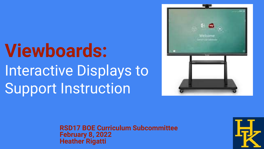# **Viewboards:** Interactive Displays to Support Instruction



**RSD17 BOE Curriculum Subcommittee February 8, 2022 Heather Rigatti**

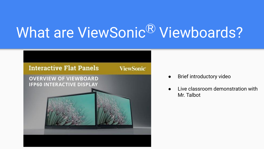## What are ViewSonic<sup>®</sup> Viewboards?



- Brief introductory video
- Live classroom demonstration with Mr. Talbot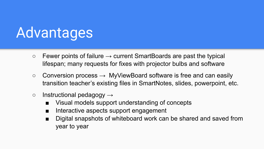## Advantages

- $\circ$  Fewer points of failure  $\rightarrow$  current SmartBoards are past the typical lifespan; many requests for fixes with projector bulbs and software
- $\circ$  Conversion process  $\rightarrow$  MyViewBoard software is free and can easily transition teacher's existing files in SmartNotes, slides, powerpoint, etc.
- $\circ$  Instructional pedagogy  $\rightarrow$ 
	- Visual models support understanding of concepts
	- Interactive aspects support engagement
	- Digital snapshots of whiteboard work can be shared and saved from year to year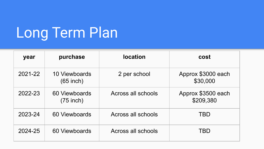## Long Term Plan

| year    | purchase                     | <b>location</b>    | cost                            |
|---------|------------------------------|--------------------|---------------------------------|
| 2021-22 | 10 Viewboards<br>$(65$ inch) | 2 per school       | Approx \$3000 each<br>\$30,000  |
| 2022-23 | 60 Viewboards<br>$(75$ inch) | Across all schools | Approx \$3500 each<br>\$209,380 |
| 2023-24 | 60 Viewboards                | Across all schools | TBD                             |
| 2024-25 | 60 Viewboards                | Across all schools | TBD                             |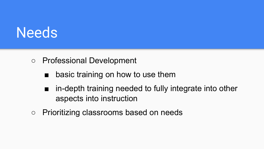#### **Needs**

#### ○ Professional Development

- basic training on how to use them
- in-depth training needed to fully integrate into other aspects into instruction
- Prioritizing classrooms based on needs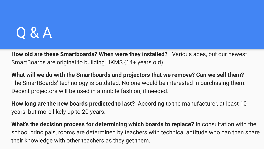#### Q & A

**How old are these Smartboards? When were they installed?** Various ages, but our newest SmartBoards are original to building HKMS (14+ years old).

**What will we do with the Smartboards and projectors that we remove? Can we sell them?**  The SmartBoards' technology is outdated. No one would be interested in purchasing them. Decent projectors will be used in a mobile fashion, if needed.

**How long are the new boards predicted to last?** According to the manufacturer, at least 10 years, but more likely up to 20 years.

**What's the decision process for determining which boards to replace?** In consultation with the school principals, rooms are determined by teachers with technical aptitude who can then share their knowledge with other teachers as they get them.